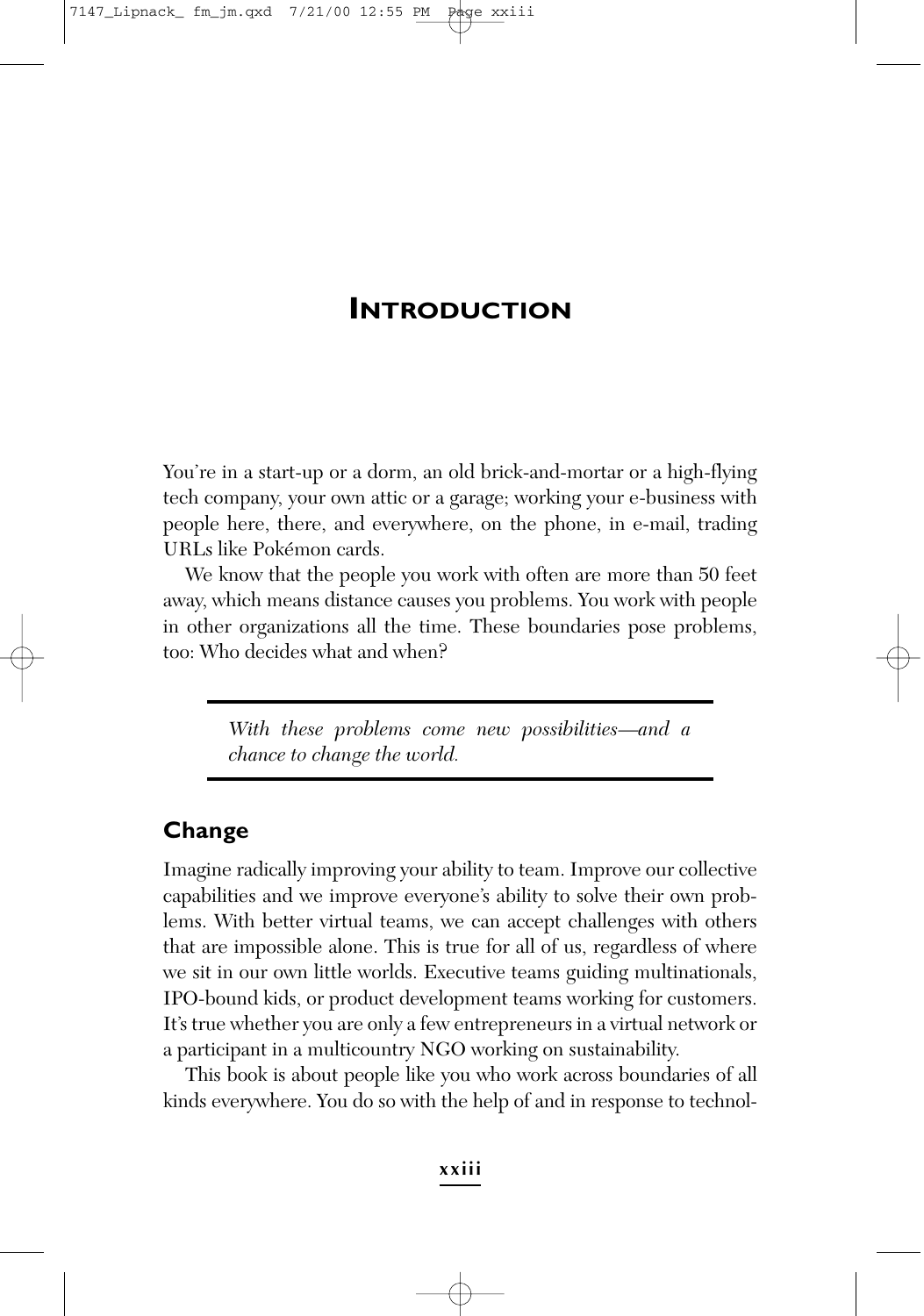## **INTRODUCTION**

You're in a start-up or a dorm, an old brick-and-mortar or a high-flying tech company, your own attic or a garage; working your e-business with people here, there, and everywhere, on the phone, in e-mail, trading URLs like Pokémon cards.

We know that the people you work with often are more than 50 feet away, which means distance causes you problems. You work with people in other organizations all the time. These boundaries pose problems, too: Who decides what and when?

> *With these problems come new possibilities—and a chance to change the world.*

### **Change**

Imagine radically improving your ability to team. Improve our collective capabilities and we improve everyone's ability to solve their own problems. With better virtual teams, we can accept challenges with others that are impossible alone. This is true for all of us, regardless of where we sit in our own little worlds. Executive teams guiding multinationals, IPO-bound kids, or product development teams working for customers. It's true whether you are only a few entrepreneurs in a virtual network or a participant in a multicountry NGO working on sustainability.

This book is about people like you who work across boundaries of all kinds everywhere. You do so with the help of and in response to technol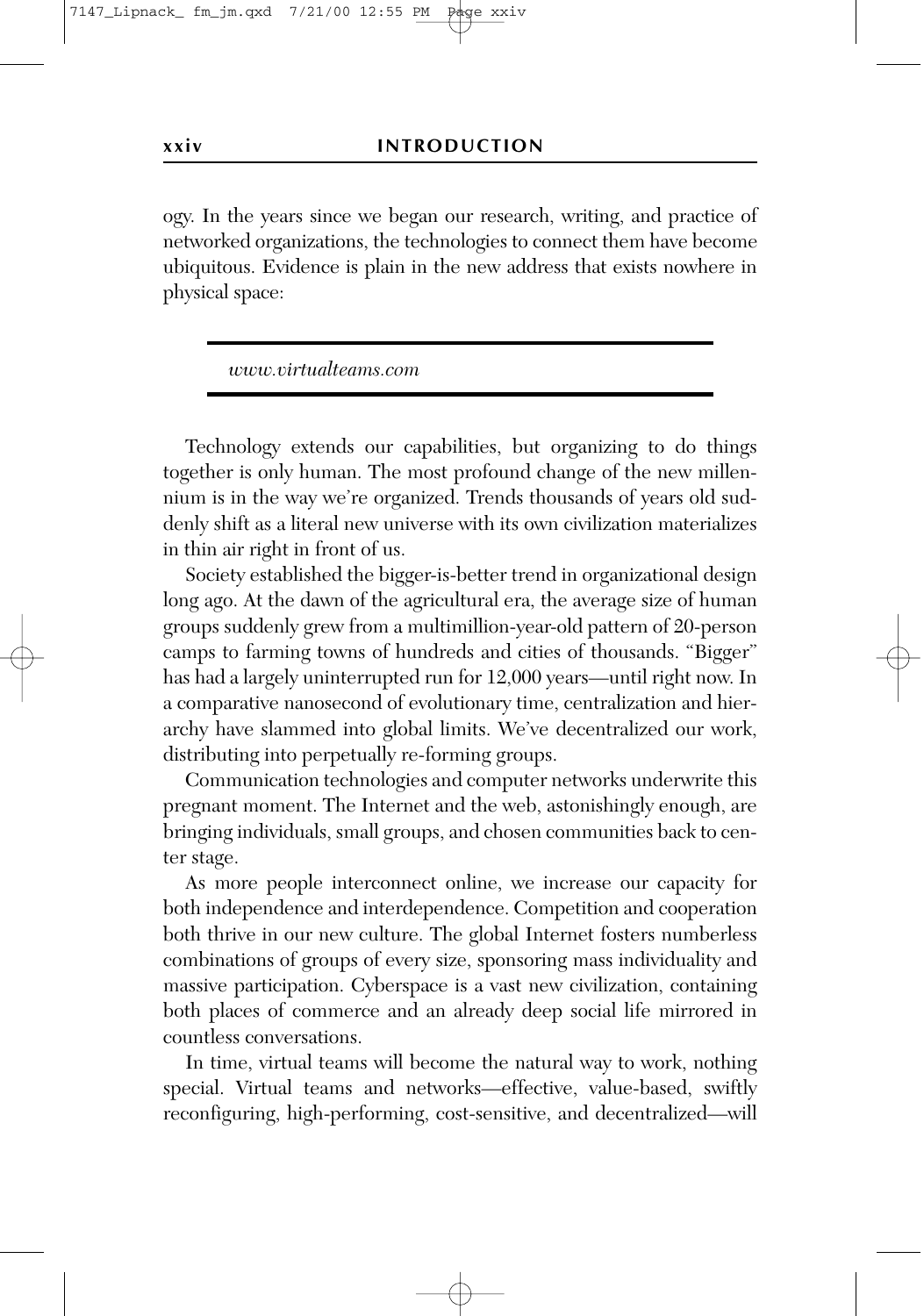ogy. In the years since we began our research, writing, and practice of networked organizations, the technologies to connect them have become ubiquitous. Evidence is plain in the new address that exists nowhere in physical space:

*www.virtualteams.com*

Technology extends our capabilities, but organizing to do things together is only human. The most profound change of the new millennium is in the way we're organized. Trends thousands of years old suddenly shift as a literal new universe with its own civilization materializes in thin air right in front of us.

Society established the bigger-is-better trend in organizational design long ago. At the dawn of the agricultural era, the average size of human groups suddenly grew from a multimillion-year-old pattern of 20-person camps to farming towns of hundreds and cities of thousands. "Bigger" has had a largely uninterrupted run for 12,000 years—until right now. In a comparative nanosecond of evolutionary time, centralization and hierarchy have slammed into global limits. We've decentralized our work, distributing into perpetually re-forming groups.

Communication technologies and computer networks underwrite this pregnant moment. The Internet and the web, astonishingly enough, are bringing individuals, small groups, and chosen communities back to center stage.

As more people interconnect online, we increase our capacity for both independence and interdependence. Competition and cooperation both thrive in our new culture. The global Internet fosters numberless combinations of groups of every size, sponsoring mass individuality and massive participation. Cyberspace is a vast new civilization, containing both places of commerce and an already deep social life mirrored in countless conversations.

In time, virtual teams will become the natural way to work, nothing special. Virtual teams and networks—effective, value-based, swiftly reconfiguring, high-performing, cost-sensitive, and decentralized—will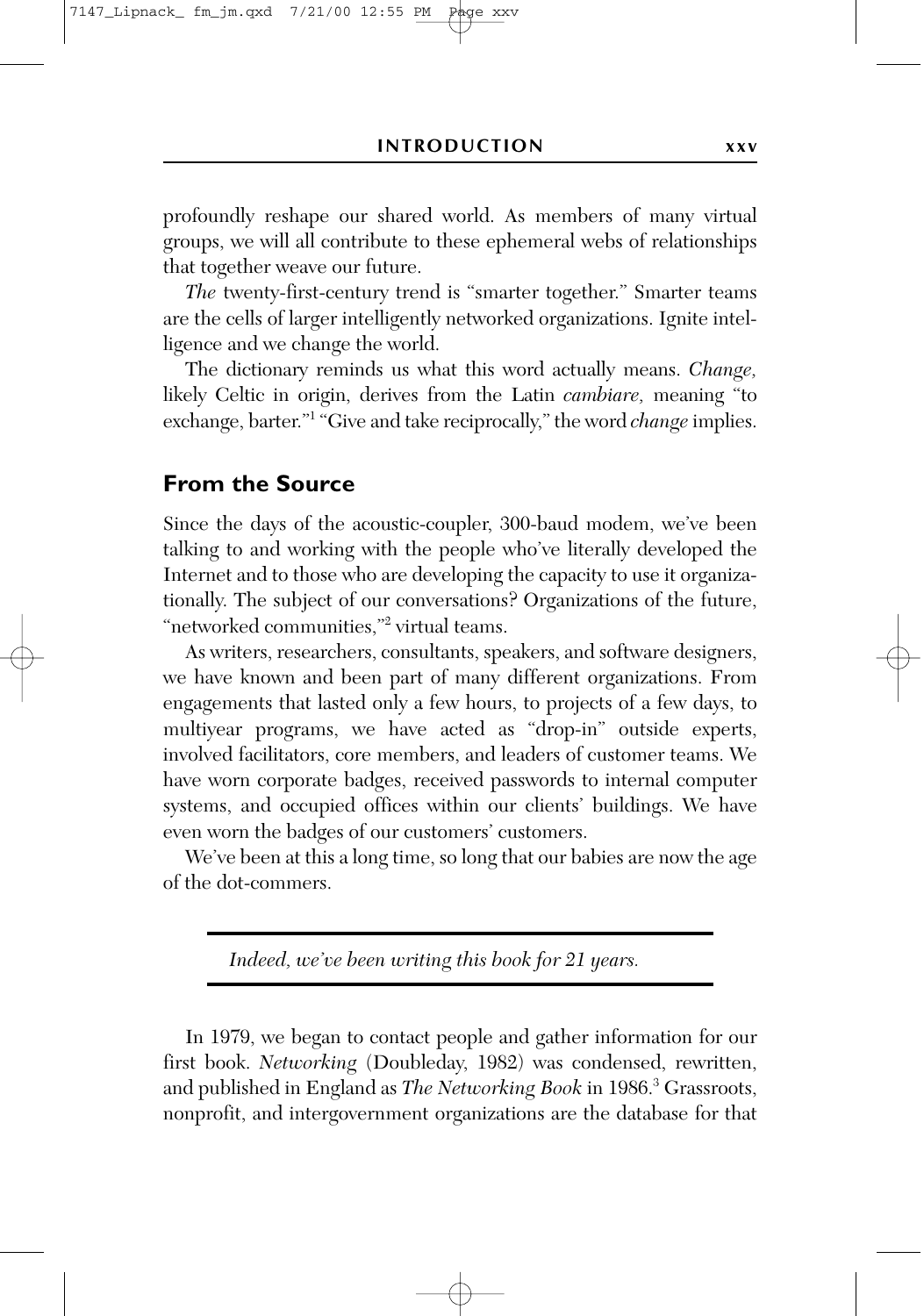profoundly reshape our shared world. As members of many virtual groups, we will all contribute to these ephemeral webs of relationships that together weave our future.

*The* twenty-first-century trend is "smarter together." Smarter teams are the cells of larger intelligently networked organizations. Ignite intelligence and we change the world.

The dictionary reminds us what this word actually means. *Change,* likely Celtic in origin, derives from the Latin *cambiare,* meaning "to exchange, barter."1 "Give and take reciprocally," the word *change* implies.

#### **From the Source**

Since the days of the acoustic-coupler, 300-baud modem, we've been talking to and working with the people who've literally developed the Internet and to those who are developing the capacity to use it organizationally. The subject of our conversations? Organizations of the future, "networked communities,"<sup>2</sup> virtual teams.

As writers, researchers, consultants, speakers, and software designers, we have known and been part of many different organizations. From engagements that lasted only a few hours, to projects of a few days, to multiyear programs, we have acted as "drop-in" outside experts, involved facilitators, core members, and leaders of customer teams. We have worn corporate badges, received passwords to internal computer systems, and occupied offices within our clients' buildings. We have even worn the badges of our customers' customers.

We've been at this a long time, so long that our babies are now the age of the dot-commers.

*Indeed, we've been writing this book for 21 years.*

In 1979, we began to contact people and gather information for our first book. *Networking* (Doubleday, 1982) was condensed, rewritten, and published in England as *The Networking Book* in 1986.<sup>3</sup> Grassroots, nonprofit, and intergovernment organizations are the database for that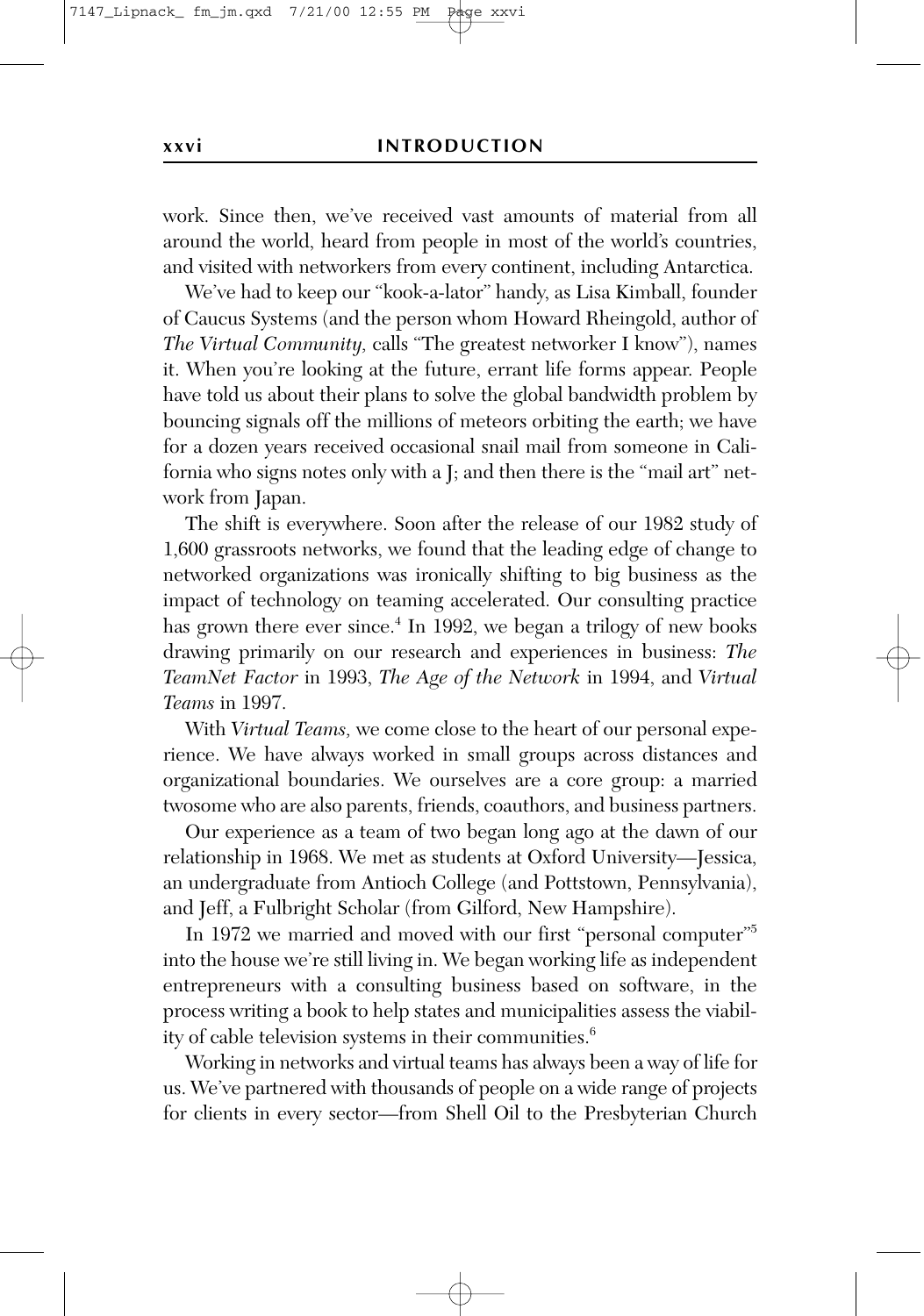work. Since then, we've received vast amounts of material from all around the world, heard from people in most of the world's countries, and visited with networkers from every continent, including Antarctica.

We've had to keep our "kook-a-lator" handy, as Lisa Kimball, founder of Caucus Systems (and the person whom Howard Rheingold, author of *The Virtual Community,* calls "The greatest networker I know"), names it. When you're looking at the future, errant life forms appear. People have told us about their plans to solve the global bandwidth problem by bouncing signals off the millions of meteors orbiting the earth; we have for a dozen years received occasional snail mail from someone in California who signs notes only with a J; and then there is the "mail art" network from Japan.

The shift is everywhere. Soon after the release of our 1982 study of 1,600 grassroots networks, we found that the leading edge of change to networked organizations was ironically shifting to big business as the impact of technology on teaming accelerated. Our consulting practice has grown there ever since.<sup>4</sup> In 1992, we began a trilogy of new books drawing primarily on our research and experiences in business: *The TeamNet Factor* in 1993, *The Age of the Network* in 1994, and *Virtual Teams* in 1997.

With *Virtual Teams,* we come close to the heart of our personal experience. We have always worked in small groups across distances and organizational boundaries. We ourselves are a core group: a married twosome who are also parents, friends, coauthors, and business partners.

Our experience as a team of two began long ago at the dawn of our relationship in 1968. We met as students at Oxford University—Jessica, an undergraduate from Antioch College (and Pottstown, Pennsylvania), and Jeff, a Fulbright Scholar (from Gilford, New Hampshire).

In 1972 we married and moved with our first "personal computer"5 into the house we're still living in. We began working life as independent entrepreneurs with a consulting business based on software, in the process writing a book to help states and municipalities assess the viability of cable television systems in their communities.<sup>6</sup>

Working in networks and virtual teams has always been a way of life for us. We've partnered with thousands of people on a wide range of projects for clients in every sector—from Shell Oil to the Presbyterian Church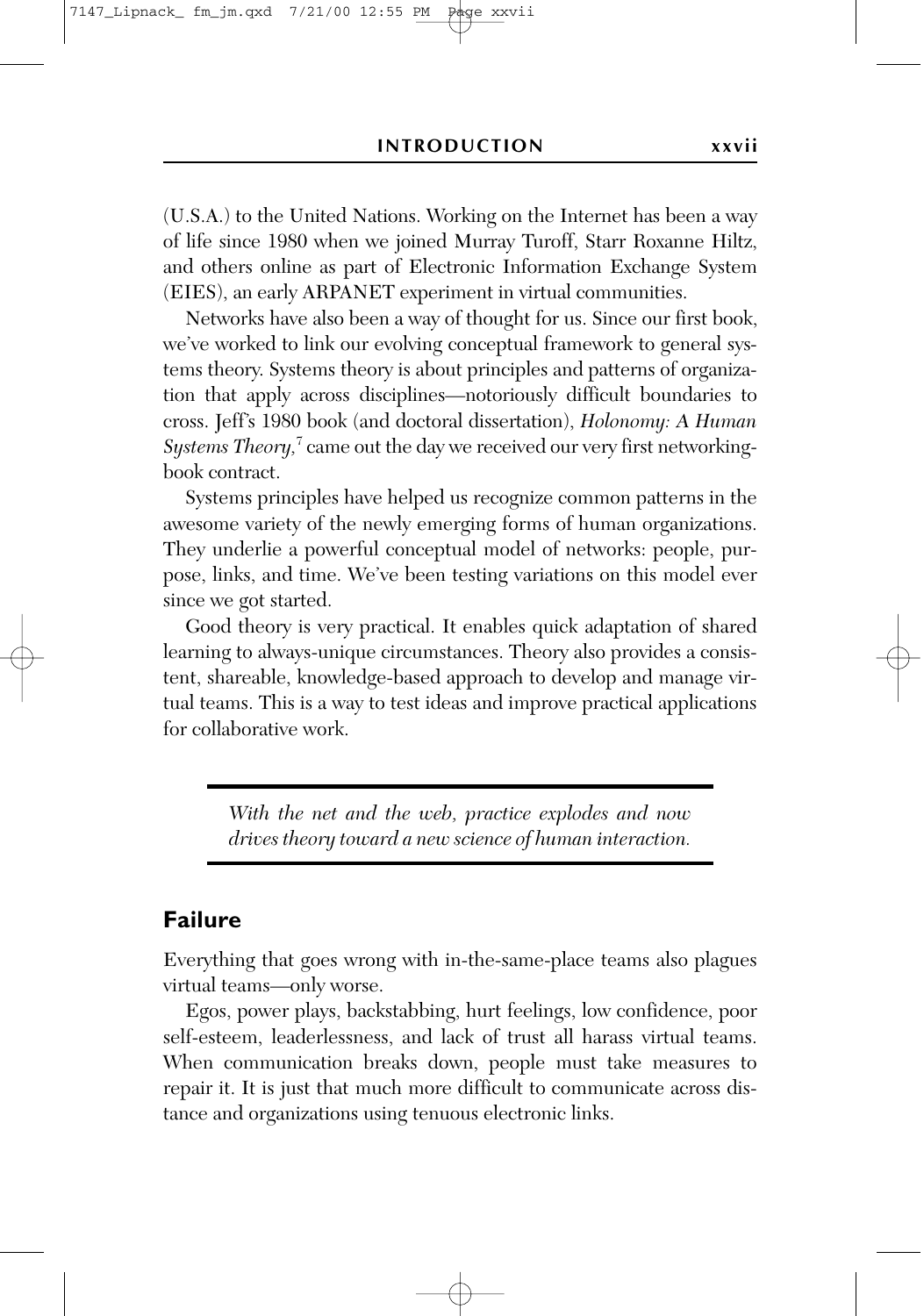(U.S.A.) to the United Nations. Working on the Internet has been a way of life since 1980 when we joined Murray Turoff, Starr Roxanne Hiltz, and others online as part of Electronic Information Exchange System (EIES), an early ARPANET experiment in virtual communities.

Networks have also been a way of thought for us. Since our first book, we've worked to link our evolving conceptual framework to general systems theory. Systems theory is about principles and patterns of organization that apply across disciplines—notoriously difficult boundaries to cross. Jeff's 1980 book (and doctoral dissertation), *Holonomy: A Human Systems Theory*,<sup>7</sup> came out the day we received our very first networkingbook contract.

Systems principles have helped us recognize common patterns in the awesome variety of the newly emerging forms of human organizations. They underlie a powerful conceptual model of networks: people, purpose, links, and time. We've been testing variations on this model ever since we got started.

Good theory is very practical. It enables quick adaptation of shared learning to always-unique circumstances. Theory also provides a consistent, shareable, knowledge-based approach to develop and manage virtual teams. This is a way to test ideas and improve practical applications for collaborative work.

> *With the net and the web, practice explodes and now drives theory toward a new science of human interaction.*

### **Failure**

Everything that goes wrong with in-the-same-place teams also plagues virtual teams—only worse.

Egos, power plays, backstabbing, hurt feelings, low confidence, poor self-esteem, leaderlessness, and lack of trust all harass virtual teams. When communication breaks down, people must take measures to repair it. It is just that much more difficult to communicate across distance and organizations using tenuous electronic links.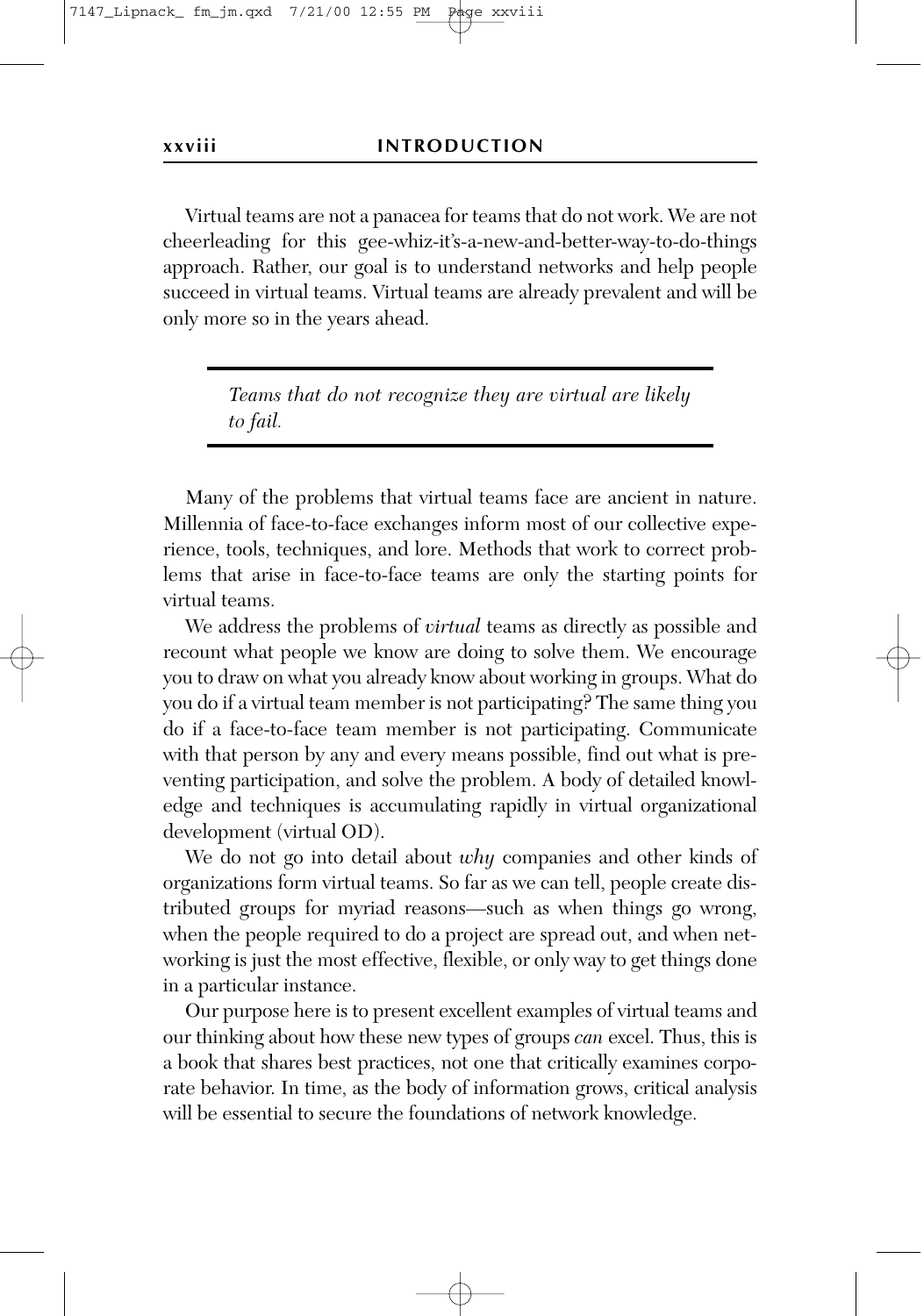Virtual teams are not a panacea for teams that do not work. We are not cheerleading for this gee-whiz-it's-a-new-and-better-way-to-do-things approach. Rather, our goal is to understand networks and help people succeed in virtual teams. Virtual teams are already prevalent and will be only more so in the years ahead.

> *Teams that do not recognize they are virtual are likely to fail.*

Many of the problems that virtual teams face are ancient in nature. Millennia of face-to-face exchanges inform most of our collective experience, tools, techniques, and lore. Methods that work to correct problems that arise in face-to-face teams are only the starting points for virtual teams.

We address the problems of *virtual* teams as directly as possible and recount what people we know are doing to solve them. We encourage you to draw on what you already know about working in groups. What do you do if a virtual team member is not participating? The same thing you do if a face-to-face team member is not participating. Communicate with that person by any and every means possible, find out what is preventing participation, and solve the problem. A body of detailed knowledge and techniques is accumulating rapidly in virtual organizational development (virtual OD).

We do not go into detail about *why* companies and other kinds of organizations form virtual teams. So far as we can tell, people create distributed groups for myriad reasons—such as when things go wrong, when the people required to do a project are spread out, and when networking is just the most effective, flexible, or only way to get things done in a particular instance.

Our purpose here is to present excellent examples of virtual teams and our thinking about how these new types of groups *can* excel. Thus, this is a book that shares best practices, not one that critically examines corporate behavior. In time, as the body of information grows, critical analysis will be essential to secure the foundations of network knowledge.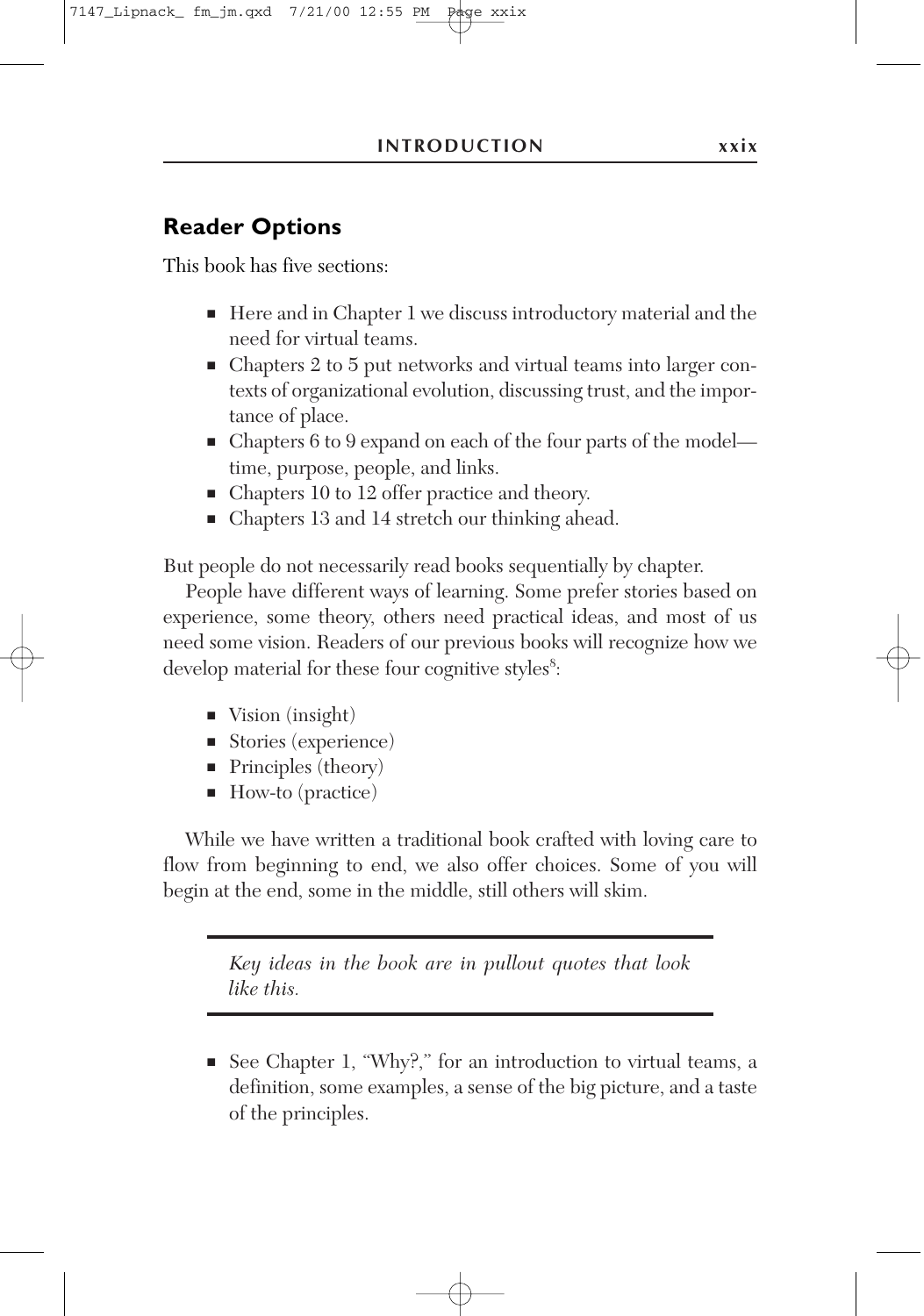# **Reader Options**

This book has five sections:

- Here and in Chapter 1 we discuss introductory material and the need for virtual teams.
- Chapters 2 to 5 put networks and virtual teams into larger contexts of organizational evolution, discussing trust, and the importance of place.
- Chapters 6 to 9 expand on each of the four parts of the model time, purpose, people, and links.
- Chapters 10 to 12 offer practice and theory.
- Chapters 13 and 14 stretch our thinking ahead.

But people do not necessarily read books sequentially by chapter.

People have different ways of learning. Some prefer stories based on experience, some theory, others need practical ideas, and most of us need some vision. Readers of our previous books will recognize how we develop material for these four cognitive styles<sup>8</sup>:

- Vision (insight)
- Stories (experience)
- Principles (theory)
- How-to (practice)

While we have written a traditional book crafted with loving care to flow from beginning to end, we also offer choices. Some of you will begin at the end, some in the middle, still others will skim.

> *Key ideas in the book are in pullout quotes that look like this.*

■ See Chapter 1, "Why?," for an introduction to virtual teams, a definition, some examples, a sense of the big picture, and a taste of the principles.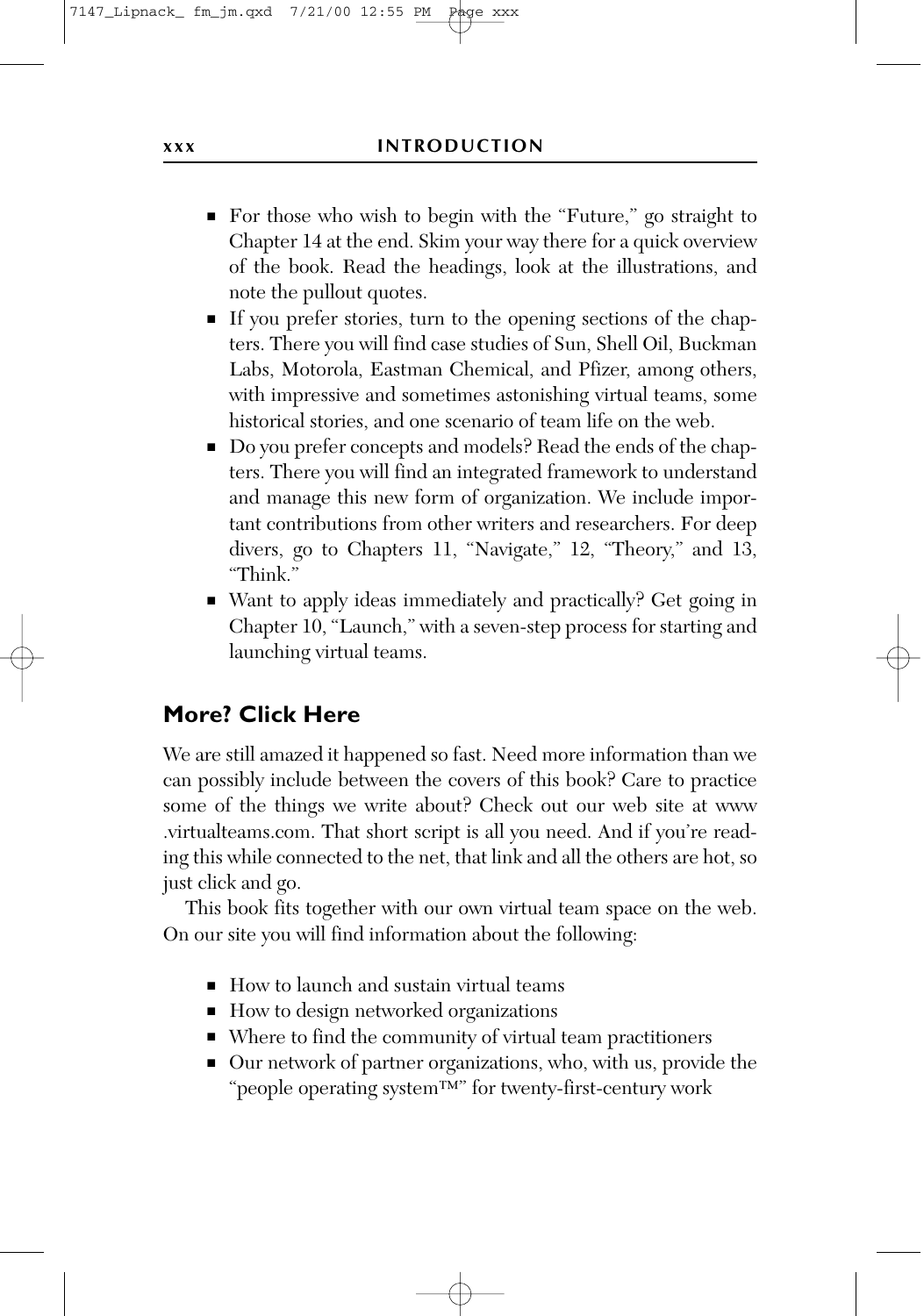- For those who wish to begin with the "Future," go straight to Chapter 14 at the end. Skim your way there for a quick overview of the book. Read the headings, look at the illustrations, and note the pullout quotes.
- If you prefer stories, turn to the opening sections of the chapters. There you will find case studies of Sun, Shell Oil, Buckman Labs, Motorola, Eastman Chemical, and Pfizer, among others, with impressive and sometimes astonishing virtual teams, some historical stories, and one scenario of team life on the web.
- Do you prefer concepts and models? Read the ends of the chapters. There you will find an integrated framework to understand and manage this new form of organization. We include important contributions from other writers and researchers. For deep divers, go to Chapters 11, "Navigate," 12, "Theory," and 13, "Think."
- Want to apply ideas immediately and practically? Get going in Chapter 10, "Launch," with a seven-step process for starting and launching virtual teams.

# **More? Click Here**

We are still amazed it happened so fast. Need more information than we can possibly include between the covers of this book? Care to practice some of the things we write about? Check out our web site at www .virtualteams.com. That short script is all you need. And if you're reading this while connected to the net, that link and all the others are hot, so just click and go.

This book fits together with our own virtual team space on the web. On our site you will find information about the following:

- How to launch and sustain virtual teams
- How to design networked organizations
- Where to find the community of virtual team practitioners
- Our network of partner organizations, who, with us, provide the "people operating system™" for twenty-first-century work